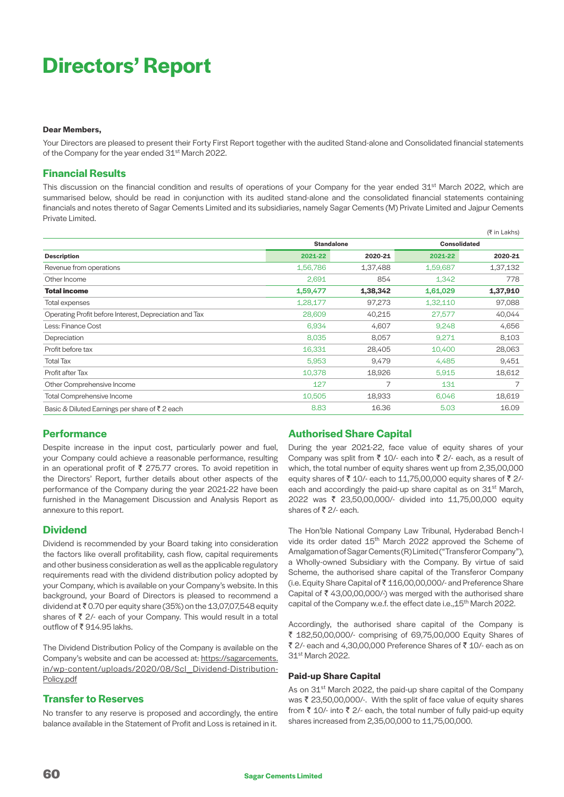# **Directors' Report**

#### **Dear Members,**

Your Directors are pleased to present their Forty First Report together with the audited Stand-alone and Consolidated financial statements of the Company for the year ended 31<sup>st</sup> March 2022.

# **Financial Results**

This discussion on the financial condition and results of operations of your Company for the year ended 31<sup>st</sup> March 2022, which are summarised below, should be read in conjunction with its audited stand-alone and the consolidated financial statements containing financials and notes thereto of Sagar Cements Limited and its subsidiaries, namely Sagar Cements (M) Private Limited and Jajpur Cements Private Limited.

|                                                        |          |                   |          | (र in Lakhs)        |
|--------------------------------------------------------|----------|-------------------|----------|---------------------|
|                                                        |          | <b>Standalone</b> |          | <b>Consolidated</b> |
| <b>Description</b>                                     | 2021-22  | 2020-21           | 2021-22  | 2020-21             |
| Revenue from operations                                | 1,56,786 | 1,37,488          | 1,59,687 | 1,37,132            |
| Other Income                                           | 2,691    | 854               | 1,342    | 778                 |
| <b>Total income</b>                                    | 1,59,477 | 1,38,342          | 1,61,029 | 1,37,910            |
| Total expenses                                         | 1,28,177 | 97,273            | 1,32,110 | 97,088              |
| Operating Profit before Interest, Depreciation and Tax | 28,609   | 40,215            | 27,577   | 40,044              |
| Less: Finance Cost                                     | 6,934    | 4,607             | 9,248    | 4,656               |
| Depreciation                                           | 8,035    | 8,057             | 9,271    | 8,103               |
| Profit before tax                                      | 16,331   | 28,405            | 10,400   | 28,063              |
| <b>Total Tax</b>                                       | 5,953    | 9,479             | 4,485    | 9,451               |
| Profit after Tax                                       | 10,378   | 18,926            | 5.915    | 18,612              |
| Other Comprehensive Income                             | 127      |                   | 131      |                     |
| <b>Total Comprehensive Income</b>                      | 10,505   | 18,933            | 6,046    | 18,619              |
| Basic & Diluted Earnings per share of ₹2 each          | 8.83     | 16.36             | 5.03     | 16.09               |

# **Performance**

Despite increase in the input cost, particularly power and fuel, your Company could achieve a reasonable performance, resulting in an operational profit of  $\bar{\tau}$  275.77 crores. To avoid repetition in the Directors' Report, further details about other aspects of the performance of the Company during the year 2021-22 have been furnished in the Management Discussion and Analysis Report as annexure to this report.

#### **Dividend**

Dividend is recommended by your Board taking into consideration the factors like overall profitability, cash flow, capital requirements and other business consideration as well as the applicable regulatory requirements read with the dividend distribution policy adopted by your Company, which is available on your Company's website. In this background, your Board of Directors is pleased to recommend a dividend at  $\bar{\tau}$  0.70 per equity share (35%) on the 13,07,07,548 equity shares of  $\bar{z}$  2/- each of your Company. This would result in a total outflow of ₹914.95 lakhs.

The Dividend Distribution Policy of the Company is available on the Company's website and can be accessed at: [https://sagarcements.](https://sagarcements.in/wp-content/uploads/2020/08/Scl_Dividend-Distribution-Policy.pdf) [in/wp-content/uploads/2020/08/Scl\\_Dividend-Distribution-](https://sagarcements.in/wp-content/uploads/2020/08/Scl_Dividend-Distribution-Policy.pdf)[Policy.pdf](https://sagarcements.in/wp-content/uploads/2020/08/Scl_Dividend-Distribution-Policy.pdf)

#### **Transfer to Reserves**

No transfer to any reserve is proposed and accordingly, the entire balance available in the Statement of Profit and Loss is retained in it.

# **Authorised Share Capital**

During the year 2021-22, face value of equity shares of your Company was split from  $\bar{z}$  10/- each into  $\bar{z}$  2/- each, as a result of which, the total number of equity shares went up from 2,35,00,000 equity shares of  $\bar{z}$  10/- each to 11,75,00,000 equity shares of  $\bar{z}$  2/each and accordingly the paid-up share capital as on 31<sup>st</sup> March, 2022 was ₹ 23,50,00,000/- divided into 11,75,00,000 equity shares of  $\bar{z}$  2/- each.

(₹ in Lakhs)

The Hon'ble National Company Law Tribunal, Hyderabad Bench-I vide its order dated 15<sup>th</sup> March 2022 approved the Scheme of Amalgamation of Sagar Cements (R) Limited ("Transferor Company"), a Wholly-owned Subsidiary with the Company. By virtue of said Scheme, the authorised share capital of the Transferor Company (i.e. Equity Share Capital of ` 116,00,00,000/- and Preference Share Capital of  $\bar{\tau}$  43,00,00,000/-) was merged with the authorised share capital of the Company w.e.f. the effect date i.e., 15<sup>th</sup> March 2022.

Accordingly, the authorised share capital of the Company is ` 182,50,00,000/- comprising of 69,75,00,000 Equity Shares of ₹ 2/- each and 4,30,00,000 Preference Shares of ₹ 10/- each as on 31st March 2022.

#### **Paid-up Share Capital**

As on 31<sup>st</sup> March 2022, the paid-up share capital of the Company was  $\bar{\tau}$  23,50,00,000/-. With the split of face value of equity shares from  $\bar{\tau}$  10/- into  $\bar{\tau}$  2/- each, the total number of fully paid-up equity shares increased from 2,35,00,000 to 11,75,00,000.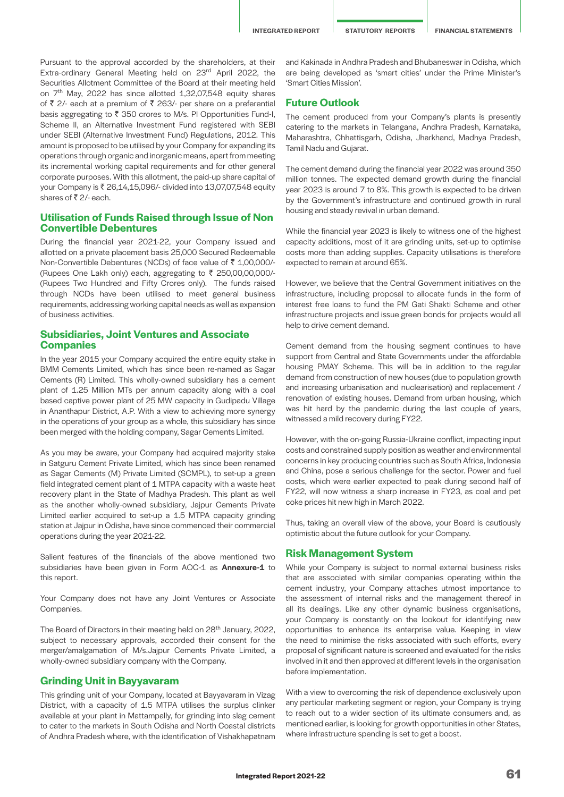Pursuant to the approval accorded by the shareholders, at their Extra-ordinary General Meeting held on 23rd April 2022, the Securities Allotment Committee of the Board at their meeting held on 7<sup>th</sup> May, 2022 has since allotted 1,32,07,548 equity shares of  $\bar{\tau}$  2/- each at a premium of  $\bar{\tau}$  263/- per share on a preferential basis aggregating to  $\bar{\tau}$  350 crores to M/s. PI Opportunities Fund-I, Scheme II, an Alternative Investment Fund registered with SEBI under SEBI (Alternative Investment Fund) Regulations, 2012. This amount is proposed to be utilised by your Company for expanding its operations through organic and inorganic means, apart from meeting its incremental working capital requirements and for other general corporate purposes. With this allotment, the paid-up share capital of your Company is ₹ 26,14,15,096/- divided into 13,07,07,548 equity shares of  $\bar{z}$  2/- each.

#### **Utilisation of Funds Raised through Issue of Non Convertible Debentures**

During the financial year 2021-22, your Company issued and allotted on a private placement basis 25,000 Secured Redeemable Non-Convertible Debentures (NCDs) of face value of ₹ 1,00,000/-(Rupees One Lakh only) each, aggregating to  $\bar{\tau}$  250,00,00,000/-(Rupees Two Hundred and Fifty Crores only). The funds raised through NCDs have been utilised to meet general business requirements, addressing working capital needs as well as expansion of business activities.

#### **Subsidiaries, Joint Ventures and Associate Companies**

In the year 2015 your Company acquired the entire equity stake in BMM Cements Limited, which has since been re-named as Sagar Cements (R) Limited. This wholly-owned subsidiary has a cement plant of 1.25 Million MTs per annum capacity along with a coal based captive power plant of 25 MW capacity in Gudipadu Village in Ananthapur District, A.P. With a view to achieving more synergy in the operations of your group as a whole, this subsidiary has since been merged with the holding company, Sagar Cements Limited.

As you may be aware, your Company had acquired majority stake in Satguru Cement Private Limited, which has since been renamed as Sagar Cements (M) Private Limited (SCMPL), to set-up a green field integrated cement plant of 1 MTPA capacity with a waste heat recovery plant in the State of Madhya Pradesh. This plant as well as the another wholly-owned subsidiary, Jaipur Cements Private Limited earlier acquired to set-up a 1.5 MTPA capacity grinding station at Jajpur in Odisha, have since commenced their commercial operations during the year 2021-22.

Salient features of the financials of the above mentioned two subsidiaries have been given in Form AOC-1 as Annexure-1 to this report.

Your Company does not have any Joint Ventures or Associate **Companies** 

The Board of Directors in their meeting held on 28<sup>th</sup> January, 2022, subject to necessary approvals, accorded their consent for the merger/amalgamation of M/s.Jajpur Cements Private Limited, a wholly-owned subsidiary company with the Company.

#### **Grinding Unit in Bayyavaram**

This grinding unit of your Company, located at Bayyavaram in Vizag District, with a capacity of 1.5 MTPA utilises the surplus clinker available at your plant in Mattampally, for grinding into slag cement to cater to the markets in South Odisha and North Coastal districts of Andhra Pradesh where, with the identification of Vishakhapatnam

and Kakinada in Andhra Pradesh and Bhubaneswar in Odisha, which are being developed as 'smart cities' under the Prime Minister's 'Smart Cities Mission'.

#### **Future Outlook**

The cement produced from your Company's plants is presently catering to the markets in Telangana, Andhra Pradesh, Karnataka, Maharashtra, Chhattisgarh, Odisha, Jharkhand, Madhya Pradesh, Tamil Nadu and Gujarat.

The cement demand during the financial year 2022 was around 350 million tonnes. The expected demand growth during the financial year 2023 is around 7 to 8%. This growth is expected to be driven by the Government's infrastructure and continued growth in rural housing and steady revival in urban demand.

While the financial year 2023 is likely to witness one of the highest capacity additions, most of it are grinding units, set-up to optimise costs more than adding supplies. Capacity utilisations is therefore expected to remain at around 65%.

However, we believe that the Central Government initiatives on the infrastructure, including proposal to allocate funds in the form of interest free loans to fund the PM Gati Shakti Scheme and other infrastructure projects and issue green bonds for projects would all help to drive cement demand.

Cement demand from the housing segment continues to have support from Central and State Governments under the affordable housing PMAY Scheme. This will be in addition to the regular demand from construction of new houses (due to population growth and increasing urbanisation and nuclearisation) and replacement / renovation of existing houses. Demand from urban housing, which was hit hard by the pandemic during the last couple of years, witnessed a mild recovery during FY22.

However, with the on-going Russia-Ukraine conflict, impacting input costs and constrained supply position as weather and environmental concerns in key producing countries such as South Africa, Indonesia and China, pose a serious challenge for the sector. Power and fuel costs, which were earlier expected to peak during second half of FY22, will now witness a sharp increase in FY23, as coal and pet coke prices hit new high in March 2022.

Thus, taking an overall view of the above, your Board is cautiously optimistic about the future outlook for your Company.

#### **Risk Management System**

While your Company is subject to normal external business risks that are associated with similar companies operating within the cement industry, your Company attaches utmost importance to the assessment of internal risks and the management thereof in all its dealings. Like any other dynamic business organisations, your Company is constantly on the lookout for identifying new opportunities to enhance its enterprise value. Keeping in view the need to minimise the risks associated with such efforts, every proposal of significant nature is screened and evaluated for the risks involved in it and then approved at different levels in the organisation before implementation.

With a view to overcoming the risk of dependence exclusively upon any particular marketing segment or region, your Company is trying to reach out to a wider section of its ultimate consumers and, as mentioned earlier, is looking for growth opportunities in other States, where infrastructure spending is set to get a boost.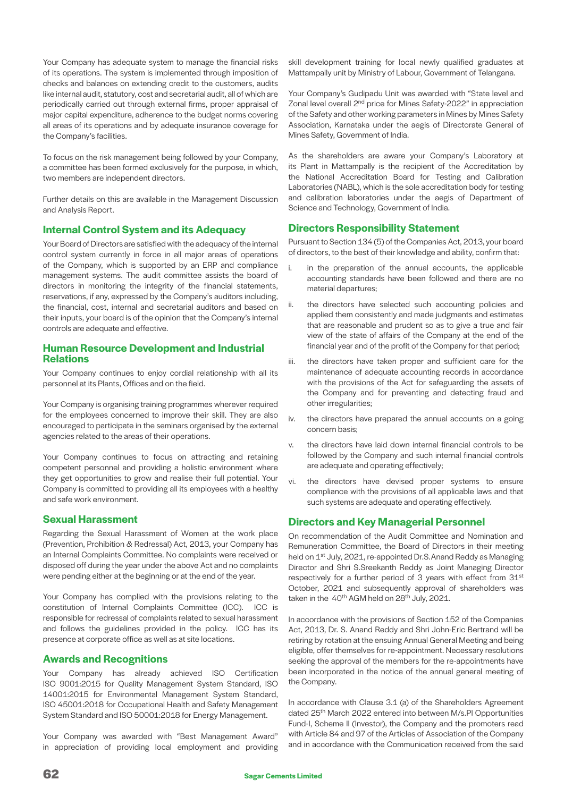Your Company has adequate system to manage the financial risks of its operations. The system is implemented through imposition of checks and balances on extending credit to the customers, audits like internal audit, statutory, cost and secretarial audit, all of which are periodically carried out through external firms, proper appraisal of major capital expenditure, adherence to the budget norms covering all areas of its operations and by adequate insurance coverage for the Company's facilities.

To focus on the risk management being followed by your Company, a committee has been formed exclusively for the purpose, in which, two members are independent directors.

Further details on this are available in the Management Discussion and Analysis Report.

# **Internal Control System and its Adequacy**

Your Board of Directors are satisfied with the adequacy of the internal control system currently in force in all major areas of operations of the Company, which is supported by an ERP and compliance management systems. The audit committee assists the board of directors in monitoring the integrity of the financial statements, reservations, if any, expressed by the Company's auditors including, the financial, cost, internal and secretarial auditors and based on their inputs, your board is of the opinion that the Company's internal controls are adequate and effective.

# **Human Resource Development and Industrial Relations**

Your Company continues to enjoy cordial relationship with all its personnel at its Plants, Offices and on the field.

Your Company is organising training programmes wherever required for the employees concerned to improve their skill. They are also encouraged to participate in the seminars organised by the external agencies related to the areas of their operations.

Your Company continues to focus on attracting and retaining competent personnel and providing a holistic environment where they get opportunities to grow and realise their full potential. Your Company is committed to providing all its employees with a healthy and safe work environment.

#### **Sexual Harassment**

Regarding the Sexual Harassment of Women at the work place (Prevention, Prohibition & Redressal) Act, 2013, your Company has an Internal Complaints Committee. No complaints were received or disposed off during the year under the above Act and no complaints were pending either at the beginning or at the end of the year.

Your Company has complied with the provisions relating to the constitution of Internal Complaints Committee (ICC). ICC is responsible for redressal of complaints related to sexual harassment and follows the guidelines provided in the policy. ICC has its presence at corporate office as well as at site locations.

# **Awards and Recognitions**

Your Company has already achieved ISO Certification ISO 9001:2015 for Quality Management System Standard, ISO 14001:2015 for Environmental Management System Standard, ISO 45001:2018 for Occupational Health and Safety Management System Standard and ISO 50001:2018 for Energy Management.

Your Company was awarded with "Best Management Award" in appreciation of providing local employment and providing skill development training for local newly qualified graduates at Mattampally unit by Ministry of Labour, Government of Telangana.

Your Company's Gudipadu Unit was awarded with "State level and Zonal level overall 2<sup>nd</sup> price for Mines Safety-2022" in appreciation of the Safety and other working parameters in Mines by Mines Safety Association, Karnataka under the aegis of Directorate General of Mines Safety, Government of India.

As the shareholders are aware your Company's Laboratory at its Plant in Mattampally is the recipient of the Accreditation by the National Accreditation Board for Testing and Calibration Laboratories (NABL), which is the sole accreditation body for testing and calibration laboratories under the aegis of Department of Science and Technology, Government of India.

# **Directors Responsibility Statement**

Pursuant to Section 134 (5) of the Companies Act, 2013, your board of directors, to the best of their knowledge and ability, confirm that:

- i. in the preparation of the annual accounts, the applicable accounting standards have been followed and there are no material departures;
- ii. the directors have selected such accounting policies and applied them consistently and made judgments and estimates that are reasonable and prudent so as to give a true and fair view of the state of affairs of the Company at the end of the financial year and of the profit of the Company for that period;
- iii. the directors have taken proper and sufficient care for the maintenance of adequate accounting records in accordance with the provisions of the Act for safeguarding the assets of the Company and for preventing and detecting fraud and other irregularities;
- iv. the directors have prepared the annual accounts on a going concern basis;
- v. the directors have laid down internal financial controls to be followed by the Company and such internal financial controls are adequate and operating effectively;
- vi. the directors have devised proper systems to ensure compliance with the provisions of all applicable laws and that such systems are adequate and operating effectively.

# **Directors and Key Managerial Personnel**

On recommendation of the Audit Committee and Nomination and Remuneration Committee, the Board of Directors in their meeting held on 1<sup>st</sup> July, 2021, re-appointed Dr.S. Anand Reddy as Managing Director and Shri S.Sreekanth Reddy as Joint Managing Director respectively for a further period of 3 years with effect from 31st October, 2021 and subsequently approval of shareholders was taken in the 40<sup>th</sup> AGM held on 28<sup>th</sup> July, 2021.

In accordance with the provisions of Section 152 of the Companies Act, 2013, Dr. S. Anand Reddy and Shri John-Eric Bertrand will be retiring by rotation at the ensuing Annual General Meeting and being eligible, offer themselves for re-appointment. Necessary resolutions seeking the approval of the members for the re-appointments have been incorporated in the notice of the annual general meeting of the Company.

In accordance with Clause 3.1 (a) of the Shareholders Agreement dated 25<sup>th</sup> March 2022 entered into between M/s.PI Opportunities Fund-I, Scheme II (Investor), the Company and the promoters read with Article 84 and 97 of the Articles of Association of the Company and in accordance with the Communication received from the said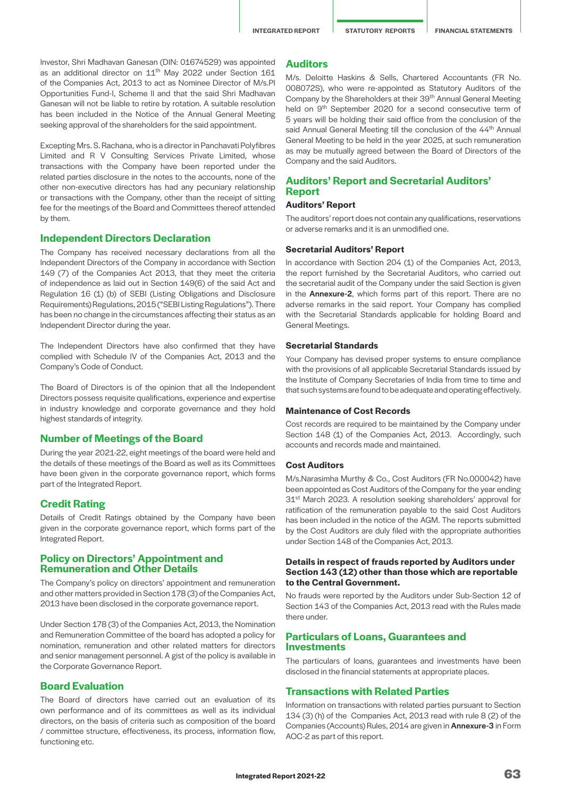Investor, Shri Madhavan Ganesan (DIN: 01674529) was appointed as an additional director on 11<sup>th</sup> May 2022 under Section 161 of the Companies Act, 2013 to act as Nominee Director of M/s.PI Opportunities Fund-I, Scheme II and that the said Shri Madhavan Ganesan will not be liable to retire by rotation. A suitable resolution has been included in the Notice of the Annual General Meeting seeking approval of the shareholders for the said appointment.

Excepting Mrs. S. Rachana, who is a director in Panchavati Polyfibres Limited and R V Consulting Services Private Limited, whose transactions with the Company have been reported under the related parties disclosure in the notes to the accounts, none of the other non-executive directors has had any pecuniary relationship or transactions with the Company, other than the receipt of sitting fee for the meetings of the Board and Committees thereof attended by them.

#### **Independent Directors Declaration**

The Company has received necessary declarations from all the Independent Directors of the Company in accordance with Section 149 (7) of the Companies Act 2013, that they meet the criteria of independence as laid out in Section 149(6) of the said Act and Regulation 16 (1) (b) of SEBI (Listing Obligations and Disclosure Requirements) Regulations, 2015 ("SEBI Listing Regulations"). There has been no change in the circumstances affecting their status as an Independent Director during the year.

The Independent Directors have also confirmed that they have complied with Schedule IV of the Companies Act, 2013 and the Company's Code of Conduct.

The Board of Directors is of the opinion that all the Independent Directors possess requisite qualifications, experience and expertise in industry knowledge and corporate governance and they hold highest standards of integrity.

#### **Number of Meetings of the Board**

During the year 2021-22, eight meetings of the board were held and the details of these meetings of the Board as well as its Committees have been given in the corporate governance report, which forms part of the Integrated Report.

#### **Credit Rating**

Details of Credit Ratings obtained by the Company have been given in the corporate governance report, which forms part of the Integrated Report.

#### **Policy on Directors' Appointment and Remuneration and Other Details**

The Company's policy on directors' appointment and remuneration and other matters provided in Section 178 (3) of the Companies Act, 2013 have been disclosed in the corporate governance report.

Under Section 178 (3) of the Companies Act, 2013, the Nomination and Remuneration Committee of the board has adopted a policy for nomination, remuneration and other related matters for directors and senior management personnel. A gist of the policy is available in the Corporate Governance Report.

# **Board Evaluation**

The Board of directors have carried out an evaluation of its own performance and of its committees as well as its individual directors, on the basis of criteria such as composition of the board / committee structure, effectiveness, its process, information flow, functioning etc.

#### **Auditors**

M/s. Deloitte Haskins & Sells, Chartered Accountants (FR No. 008072S), who were re-appointed as Statutory Auditors of the Company by the Shareholders at their 39<sup>th</sup> Annual General Meeting held on 9<sup>th</sup> September 2020 for a second consecutive term of 5 years will be holding their said office from the conclusion of the said Annual General Meeting till the conclusion of the 44<sup>th</sup> Annual General Meeting to be held in the year 2025, at such remuneration as may be mutually agreed between the Board of Directors of the Company and the said Auditors.

# **Auditors' Report and Secretarial Auditors' Report**

#### **Auditors' Report**

The auditors' report does not contain any qualifications, reservations or adverse remarks and it is an unmodified one.

#### **Secretarial Auditors' Report**

In accordance with Section 204 (1) of the Companies Act, 2013, the report furnished by the Secretarial Auditors, who carried out the secretarial audit of the Company under the said Section is given in the **Annexure-2**, which forms part of this report. There are no adverse remarks in the said report. Your Company has complied with the Secretarial Standards applicable for holding Board and General Meetings.

#### **Secretarial Standards**

Your Company has devised proper systems to ensure compliance with the provisions of all applicable Secretarial Standards issued by the Institute of Company Secretaries of India from time to time and that such systems are found to be adequate and operating effectively.

#### **Maintenance of Cost Records**

Cost records are required to be maintained by the Company under Section 148 (1) of the Companies Act, 2013. Accordingly, such accounts and records made and maintained.

#### **Cost Auditors**

M/s.Narasimha Murthy & Co., Cost Auditors (FR No.000042) have been appointed as Cost Auditors of the Company for the year ending 31<sup>st</sup> March 2023. A resolution seeking shareholders' approval for ratification of the remuneration payable to the said Cost Auditors has been included in the notice of the AGM. The reports submitted by the Cost Auditors are duly filed with the appropriate authorities under Section 148 of the Companies Act, 2013.

#### **Details in respect of frauds reported by Auditors under Section 143 (12) other than those which are reportable to the Central Government.**

No frauds were reported by the Auditors under Sub-Section 12 of Section 143 of the Companies Act, 2013 read with the Rules made there under.

#### **Particulars of Loans, Guarantees and Investments**

The particulars of loans, guarantees and investments have been disclosed in the financial statements at appropriate places.

#### **Transactions with Related Parties**

Information on transactions with related parties pursuant to Section 134 (3) (h) of the Companies Act, 2013 read with rule 8 (2) of the Companies (Accounts) Rules, 2014 are given in Annexure-3 in Form AOC-2 as part of this report.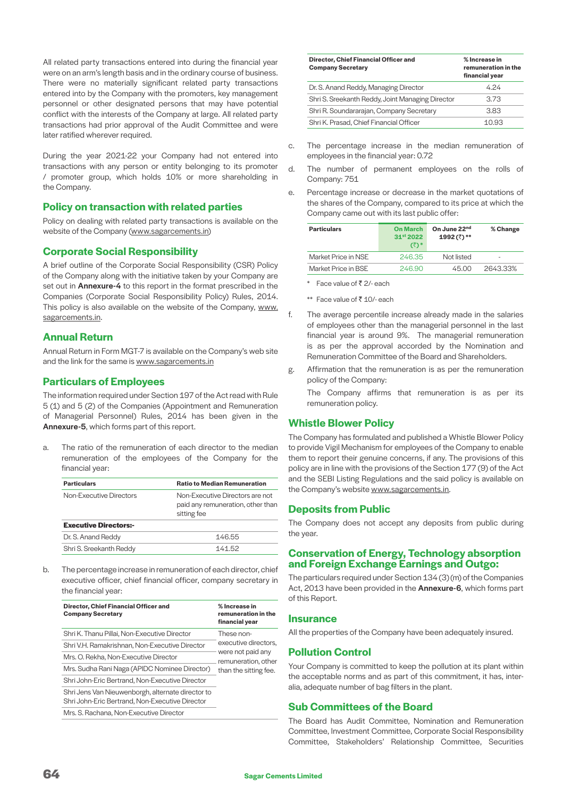All related party transactions entered into during the financial year were on an arm's length basis and in the ordinary course of business. There were no materially significant related party transactions entered into by the Company with the promoters, key management personnel or other designated persons that may have potential conflict with the interests of the Company at large. All related party transactions had prior approval of the Audit Committee and were later ratified wherever required.

During the year 2021-22 your Company had not entered into transactions with any person or entity belonging to its promoter / promoter group, which holds 10% or more shareholding in the Company.

# **Policy on transaction with related parties**

Policy on dealing with related party transactions is available on the website of the Company ([www.sagarcements.in\)](http://www.sagarcements.in)

# **Corporate Social Responsibility**

A brief outline of the Corporate Social Responsibility (CSR) Policy of the Company along with the initiative taken by your Company are set out in **Annexure-4** to this report in the format prescribed in the Companies (Corporate Social Responsibility Policy) Rules, 2014. This policy is also available on the website of the Company, [www.](http://www.sagarcements.in) [sagarcements.in](http://www.sagarcements.in).

# **Annual Return**

Annual Return in Form MGT-7 is available on the Company's web site and the link for the same is [www.sagarcements.in](http://www.sagarcements.in)

# **Particulars of Employees**

The information required under Section 197 of the Act read with Rule 5 (1) and 5 (2) of the Companies (Appointment and Remuneration of Managerial Personnel) Rules, 2014 has been given in the Annexure-5, which forms part of this report.

a. The ratio of the remuneration of each director to the median remuneration of the employees of the Company for the financial year:

| <b>Particulars</b>           | <b>Ratio to Median Remuneration</b>                                                 |
|------------------------------|-------------------------------------------------------------------------------------|
| Non-Executive Directors      | Non-Executive Directors are not<br>paid any remuneration, other than<br>sitting fee |
| <b>Executive Directors:-</b> |                                                                                     |
| Dr. S. Anand Reddy           | 146.55                                                                              |
| Shri S. Sreekanth Reddy      | 141.52                                                                              |

b. The percentage increase in remuneration of each director, chief executive officer, chief financial officer, company secretary in the financial year:

| Director, Chief Financial Officer and<br><b>Company Secretary</b>                                    | % Increase in<br>remuneration in the<br>financial year |
|------------------------------------------------------------------------------------------------------|--------------------------------------------------------|
| Shri K. Thanu Pillai, Non-Executive Director                                                         | These non-                                             |
| Shri V.H. Ramakrishnan, Non-Executive Director                                                       | executive directors.                                   |
| Mrs. O. Rekha. Non-Executive Director                                                                | were not paid any<br>remuneration, other               |
| Mrs. Sudha Rani Naga (APIDC Nominee Director)                                                        | than the sitting fee.                                  |
| Shri John-Eric Bertrand, Non-Executive Director                                                      |                                                        |
| Shri Jens Van Nieuwenborgh, alternate director to<br>Shri John-Eric Bertrand, Non-Executive Director |                                                        |
| Mrs. S. Rachana. Non-Executive Director                                                              |                                                        |

| Director, Chief Financial Officer and<br><b>Company Secretary</b> | % Increase in<br>remuneration in the<br>financial year |
|-------------------------------------------------------------------|--------------------------------------------------------|
| Dr. S. Anand Reddy, Managing Director                             | 4.24                                                   |
| Shri S. Sreekanth Reddy, Joint Managing Director                  | 3.73                                                   |
| Shri R. Soundararajan, Company Secretary                          | 3.83                                                   |
| Shri K. Prasad, Chief Financial Officer                           | 10.93                                                  |
|                                                                   |                                                        |

- c. The percentage increase in the median remuneration of employees in the financial year: 0.72
- d. The number of permanent employees on the rolls of Company: 751
- e. Percentage increase or decrease in the market quotations of the shares of the Company, compared to its price at which the Company came out with its last public offer:

| <b>Particulars</b>  | <b>On March</b><br>31st 2022<br>$(3^*)^*$ | On June 22 <sup>nd</sup><br>1992 (₹) ** | % Change                 |
|---------------------|-------------------------------------------|-----------------------------------------|--------------------------|
| Market Price in NSF | 246.35                                    | Not listed                              | $\overline{\phantom{a}}$ |
| Market Price in BSE | 246.90                                    | 45.00                                   | 2643.33%                 |

\* Face value of  $\bar{z}$  2/- each

\*\* Face value of  $\bar{z}$  10/- each

- f. The average percentile increase already made in the salaries of employees other than the managerial personnel in the last financial year is around 9%. The managerial remuneration is as per the approval accorded by the Nomination and Remuneration Committee of the Board and Shareholders.
- g. Affirmation that the remuneration is as per the remuneration policy of the Company:

 The Company affirms that remuneration is as per its remuneration policy.

# **Whistle Blower Policy**

The Company has formulated and published a Whistle Blower Policy to provide Vigil Mechanism for employees of the Company to enable them to report their genuine concerns, if any. The provisions of this policy are in line with the provisions of the Section 177 (9) of the Act and the SEBI Listing Regulations and the said policy is available on the Company's website [www.sagarcements.in](http://www.sagarcements.in).

# **Deposits from Public**

The Company does not accept any deposits from public during the year.

# **Conservation of Energy, Technology absorption and Foreign Exchange Earnings and Outgo:**

The particulars required under Section 134 (3) (m) of the Companies Act, 2013 have been provided in the Annexure-6, which forms part of this Report.

#### **Insurance**

All the properties of the Company have been adequately insured.

#### **Pollution Control**

Your Company is committed to keep the pollution at its plant within the acceptable norms and as part of this commitment, it has, interalia, adequate number of bag filters in the plant.

# **Sub Committees of the Board**

The Board has Audit Committee, Nomination and Remuneration Committee, Investment Committee, Corporate Social Responsibility Committee, Stakeholders' Relationship Committee, Securities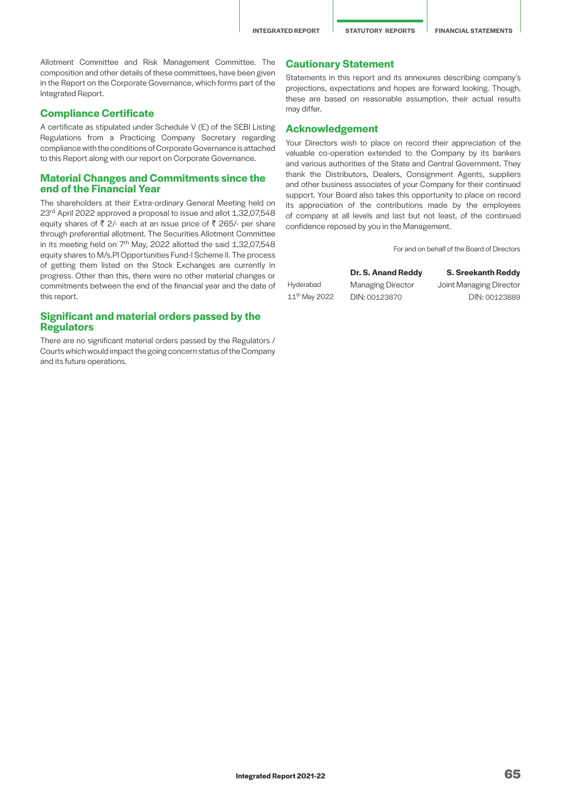Allotment Committee and Risk Management Committee. The composition and other details of these committees, have been given in the Report on the Corporate Governance, which forms part of the Integrated Report.

#### **Compliance Certificate**

A certificate as stipulated under Schedule V (E) of the SEBI Listing Regulations from a Practicing Company Secretary regarding compliance with the conditions of Corporate Governance is attached to this Report along with our report on Corporate Governance.

#### **Material Changes and Commitments since the end of the Financial Year**

The shareholders at their Extra-ordinary General Meeting held on 23<sup>rd</sup> April 2022 approved a proposal to issue and allot 1,32,07,548 equity shares of  $\bar{z}$  2/- each at an issue price of  $\bar{z}$  265/- per share through preferential allotment. The Securities Allotment Committee in its meeting held on  $7<sup>th</sup>$  May, 2022 allotted the said 1,32,07,548 equity shares to M/s.PI Opportunities Fund-I Scheme II. The process of getting them listed on the Stock Exchanges are currently in progress. Other than this, there were no other material changes or commitments between the end of the financial year and the date of this report.

# **Significant and material orders passed by the Regulators**

There are no significant material orders passed by the Regulators / Courts which would impact the going concern status of the Company and its future operations.

# **Cautionary Statement**

Statements in this report and its annexures describing company's projections, expectations and hopes are forward looking. Though, these are based on reasonable assumption, their actual results may differ.

#### **Acknowledgement**

Your Directors wish to place on record their appreciation of the valuable co-operation extended to the Company by its bankers and various authorities of the State and Central Government. They thank the Distributors, Dealers, Consignment Agents, suppliers and other business associates of your Company for their continued support. Your Board also takes this opportunity to place on record its appreciation of the contributions made by the employees of company at all levels and last but not least, of the continued confidence reposed by you in the Management.

For and on behalf of the Board of Directors

#### **Dr. S. Anand Reddy S. Sreekanth Reddy**

Hyderabad Managing Director Joint Managing Director 11th May 2022 DIN: 00123870 DIN: 00123889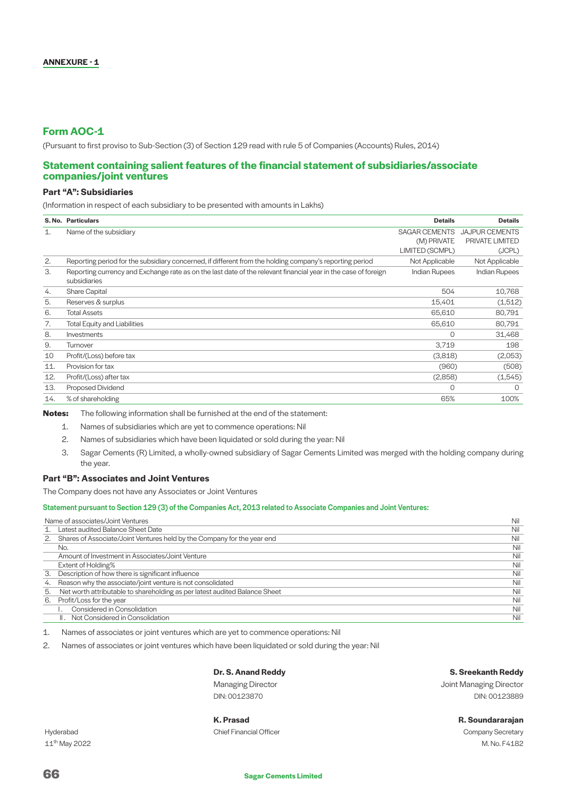# **Form AOC-1**

(Pursuant to first proviso to Sub-Section (3) of Section 129 read with rule 5 of Companies (Accounts) Rules, 2014)

#### **Statement containing salient features of the financial statement of subsidiaries/associate companies/joint ventures**

### **Part "A": Subsidiaries**

(Information in respect of each subsidiary to be presented with amounts in Lakhs)

|     | S. No. Particulars                                                                                                             | <b>Details</b>       | <b>Details</b>        |
|-----|--------------------------------------------------------------------------------------------------------------------------------|----------------------|-----------------------|
| 1.  | Name of the subsidiary                                                                                                         | SAGAR CEMENTS        | <b>JAJPUR CEMENTS</b> |
|     |                                                                                                                                | (M) PRIVATE          | PRIVATE LIMITED       |
|     |                                                                                                                                | LIMITED (SCMPL)      | (JCPL)                |
| 2.  | Reporting period for the subsidiary concerned, if different from the holding company's reporting period                        | Not Applicable       | Not Applicable        |
| 3.  | Reporting currency and Exchange rate as on the last date of the relevant financial year in the case of foreign<br>subsidiaries | <b>Indian Rupees</b> | <b>Indian Rupees</b>  |
| 4.  | <b>Share Capital</b>                                                                                                           | 504                  | 10,768                |
| 5.  | Reserves & surplus                                                                                                             | 15,401               | (1,512)               |
| 6.  | <b>Total Assets</b>                                                                                                            | 65,610               | 80,791                |
| 7.  | <b>Total Equity and Liabilities</b>                                                                                            | 65,610               | 80,791                |
| 8.  | Investments                                                                                                                    | $\Omega$             | 31,468                |
| 9.  | Turnover                                                                                                                       | 3,719                | 198                   |
| 10  | Profit/(Loss) before tax                                                                                                       | (3,818)              | (2,053)               |
| 11. | Provision for tax                                                                                                              | (960)                | (508)                 |
| 12. | Profit/(Loss) after tax                                                                                                        | (2,858)              | (1, 545)              |
| 13. | Proposed Dividend                                                                                                              | $\Omega$             | $\Omega$              |
| 14. | % of shareholding                                                                                                              | 65%                  | 100%                  |
|     |                                                                                                                                |                      |                       |

**Notes:** The following information shall be furnished at the end of the statement:

1. Names of subsidiaries which are yet to commence operations: Nil

2. Names of subsidiaries which have been liquidated or sold during the year: Nil

3. Sagar Cements (R) Limited, a wholly-owned subsidiary of Sagar Cements Limited was merged with the holding company during the year.

#### **Part "B": Associates and Joint Ventures**

The Company does not have any Associates or Joint Ventures

#### Statement pursuant to Section 129 (3) of the Companies Act, 2013 related to Associate Companies and Joint Ventures:

|    | Name of associates/Joint Ventures                                          | Nil |
|----|----------------------------------------------------------------------------|-----|
|    | Latest audited Balance Sheet Date                                          | Nil |
| 2. | Shares of Associate/Joint Ventures held by the Company for the year end    | Nil |
|    | No.                                                                        | Nil |
|    | Amount of Investment in Associates/Joint Venture                           | Nil |
|    | Extent of Holding%                                                         | Nil |
| 3. | Description of how there is significant influence                          | Nil |
| 4. | Reason why the associate/joint venture is not consolidated                 | Nil |
| 5. | Net worth attributable to shareholding as per latest audited Balance Sheet | Nil |
| 6. | Profit/Loss for the year                                                   | Nil |
|    | Considered in Consolidation                                                | Nil |
|    | II. Not Considered in Consolidation                                        | Nil |

1. Names of associates or joint ventures which are yet to commence operations: Nil

2. Names of associates or joint ventures which have been liquidated or sold during the year: Nil

# **Dr. S. Anand Reddy S. Sreekanth Reddy**

Managing Director **Managing Director** Analysis of Managing Director and Managing Director DIN: 00123870 DIN: 00123889

# **K. Prasad R. Soundararajan** Hyderabad Chief Financial Officer Company Secretary

11th May 2022 M. No. F4182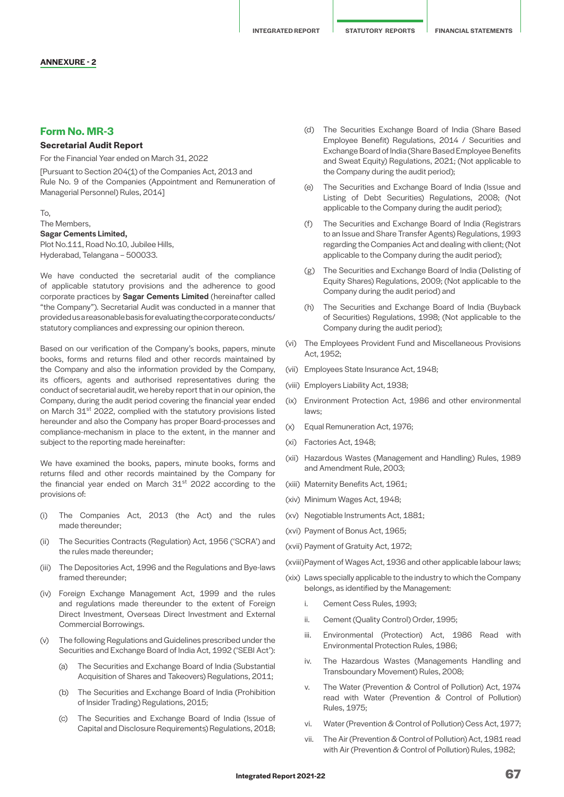#### **ANNEXURE - 2**

# **Form No. MR-3**

#### **Secretarial Audit Report**

For the Financial Year ended on March 31, 2022

[Pursuant to Section 204(1) of the Companies Act, 2013 and Rule No. 9 of the Companies (Appointment and Remuneration of Managerial Personnel) Rules, 2014]

#### To, The Members, Sagar Cements Limited,

Plot No.111, Road No.10, Jubilee Hills, Hyderabad, Telangana – 500033.

We have conducted the secretarial audit of the compliance of applicable statutory provisions and the adherence to good corporate practices by Sagar Cements Limited (hereinafter called "the Company"). Secretarial Audit was conducted in a manner that provided us a reasonable basis for evaluating the corporate conducts/ statutory compliances and expressing our opinion thereon.

Based on our verification of the Company's books, papers, minute books, forms and returns filed and other records maintained by the Company and also the information provided by the Company, its officers, agents and authorised representatives during the conduct of secretarial audit, we hereby report that in our opinion, the Company, during the audit period covering the financial year ended on March 31st 2022, complied with the statutory provisions listed hereunder and also the Company has proper Board-processes and compliance-mechanism in place to the extent, in the manner and subject to the reporting made hereinafter:

We have examined the books, papers, minute books, forms and returns filed and other records maintained by the Company for the financial year ended on March 31<sup>st</sup> 2022 according to the provisions of:

- (i) The Companies Act, 2013 (the Act) and the rules made thereunder;
- (ii) The Securities Contracts (Regulation) Act, 1956 ('SCRA') and the rules made thereunder;
- (iii) The Depositories Act, 1996 and the Regulations and Bye-laws framed thereunder;
- (iv) Foreign Exchange Management Act, 1999 and the rules and regulations made thereunder to the extent of Foreign Direct Investment, Overseas Direct Investment and External Commercial Borrowings.
- (v) The following Regulations and Guidelines prescribed under the Securities and Exchange Board of India Act, 1992 ('SEBI Act'):
	- (a) The Securities and Exchange Board of India (Substantial Acquisition of Shares and Takeovers) Regulations, 2011;
	- (b) The Securities and Exchange Board of India (Prohibition of Insider Trading) Regulations, 2015;
	- (c) The Securities and Exchange Board of India (Issue of Capital and Disclosure Requirements) Regulations, 2018;
- (d) The Securities Exchange Board of India (Share Based Employee Benefit) Regulations, 2014 / Securities and Exchange Board of India (Share Based Employee Benefits and Sweat Equity) Regulations, 2021; (Not applicable to the Company during the audit period);
- (e) The Securities and Exchange Board of India (Issue and Listing of Debt Securities) Regulations, 2008; (Not applicable to the Company during the audit period);
- (f) The Securities and Exchange Board of India (Registrars to an Issue and Share Transfer Agents) Regulations, 1993 regarding the Companies Act and dealing with client; (Not applicable to the Company during the audit period);
- (g) The Securities and Exchange Board of India (Delisting of Equity Shares) Regulations, 2009; (Not applicable to the Company during the audit period) and
- (h) The Securities and Exchange Board of India (Buyback of Securities) Regulations, 1998; (Not applicable to the Company during the audit period);
- (vi) The Employees Provident Fund and Miscellaneous Provisions Act, 1952;
- (vii) Employees State Insurance Act, 1948;
- (viii) Employers Liability Act, 1938;
- (ix) Environment Protection Act, 1986 and other environmental laws;
- (x) Equal Remuneration Act, 1976;
- (xi) Factories Act, 1948;
- (xii) Hazardous Wastes (Management and Handling) Rules, 1989 and Amendment Rule, 2003;
- (xiii) Maternity Benefits Act, 1961;
- (xiv) Minimum Wages Act, 1948;
- (xv) Negotiable Instruments Act, 1881;
- (xvi) Payment of Bonus Act, 1965;

(xvii) Payment of Gratuity Act, 1972;

(xviii) Payment of Wages Act, 1936 and other applicable labour laws;

- (xix) Laws specially applicable to the industry to which the Company belongs, as identified by the Management:
	- i. Cement Cess Rules, 1993;
	- ii. Cement (Quality Control) Order, 1995;
	- iii. Environmental (Protection) Act, 1986 Read with Environmental Protection Rules, 1986;
	- iv. The Hazardous Wastes (Managements Handling and Transboundary Movement) Rules, 2008;
	- v. The Water (Prevention & Control of Pollution) Act, 1974 read with Water (Prevention & Control of Pollution) Rules, 1975;
	- vi. Water (Prevention & Control of Pollution) Cess Act, 1977;
	- vii. The Air (Prevention & Control of Pollution) Act, 1981 read with Air (Prevention & Control of Pollution) Rules, 1982;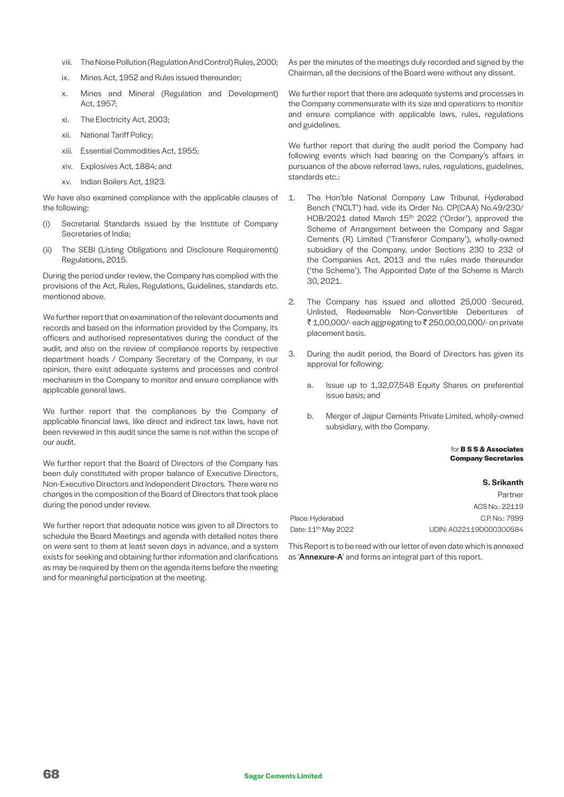- viii. The Noise Pollution (Regulation And Control) Rules, 2000;
- ix. Mines Act, 1952 and Rules issued thereunder;
- x. Mines and Mineral (Regulation and Development) Act, 1957;
- xi. The Electricity Act, 2003;
- xii. National Tariff Policy;
- xiii. Essential Commodities Act, 1955;
- xiv. Explosives Act, 1884; and
- xv. Indian Boilers Act, 1923.

We have also examined compliance with the applicable clauses of the following:

- (i) Secretarial Standards issued by the Institute of Company Secretaries of India;
- (ii) The SEBI (Listing Obligations and Disclosure Requirements) Regulations, 2015.

During the period under review, the Company has complied with the provisions of the Act, Rules, Regulations, Guidelines, standards etc. mentioned above.

We further report that on examination of the relevant documents and records and based on the information provided by the Company, its officers and authorised representatives during the conduct of the audit, and also on the review of compliance reports by respective department heads / Company Secretary of the Company, in our opinion, there exist adequate systems and processes and control mechanism in the Company to monitor and ensure compliance with applicable general laws.

We further report that the compliances by the Company of applicable financial laws, like direct and indirect tax laws, have not been reviewed in this audit since the same is not within the scope of our audit.

We further report that the Board of Directors of the Company has been duly constituted with proper balance of Executive Directors, Non-Executive Directors and Independent Directors. There were no changes in the composition of the Board of Directors that took place during the period under review.

We further report that adequate notice was given to all Directors to schedule the Board Meetings and agenda with detailed notes there on were sent to them at least seven days in advance, and a system exists for seeking and obtaining further information and clarifications as may be required by them on the agenda items before the meeting and for meaningful participation at the meeting.

As per the minutes of the meetings duly recorded and signed by the Chairman, all the decisions of the Board were without any dissent.

We further report that there are adequate systems and processes in the Company commensurate with its size and operations to monitor and ensure compliance with applicable laws, rules, regulations and guidelines.

We further report that during the audit period the Company had following events which had bearing on the Company's affairs in pursuance of the above referred laws, rules, regulations, guidelines, standards etc.:

- 1. The Hon'ble National Company Law Tribunal, Hyderabad Bench ('NCLT') had, vide its Order No. CP(CAA) No.49/230/ HDB/2021 dated March 15<sup>th</sup> 2022 ('Order'), approved the Scheme of Arrangement between the Company and Sagar Cements (R) Limited ('Transferor Company'), wholly-owned subsidiary of the Company, under Sections 230 to 232 of the Companies Act, 2013 and the rules made thereunder ('the Scheme'). The Appointed Date of the Scheme is March 30, 2021.
- 2. The Company has issued and allotted 25,000 Secured, Unlisted, Redeemable Non-Convertible Debentures of ₹ 1,00,000/- each aggregating to ₹ 250,00,00,000/- on private placement basis.
- 3. During the audit period, the Board of Directors has given its approval for following:
	- a. Issue up to 1,32,07,548 Equity Shares on preferential issue basis; and
	- b. Merger of Jajpur Cements Private Limited, wholly-owned subsidiary, with the Company.

#### for **B S S & Associates Company Secretaries**

|                                 | <b>S. Srikanth</b>      |
|---------------------------------|-------------------------|
|                                 | Partner                 |
|                                 | ACS No.: 22119          |
| Place: Hyderabad                | C.P. No.: 7999          |
| Date: 11 <sup>th</sup> May 2022 | UDIN: A022119D000300584 |

This Report is to be read with our letter of even date which is annexed as 'Annexure-A' and forms an integral part of this report.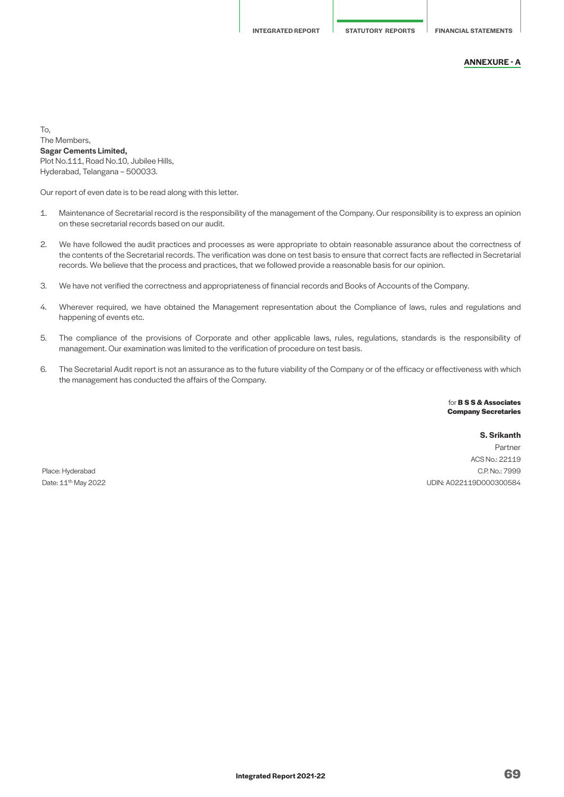#### **ANNEXURE - A**

To, The Members, Sagar Cements Limited, Plot No.111, Road No.10, Jubilee Hills, Hyderabad, Telangana – 500033.

Our report of even date is to be read along with this letter.

- 1. Maintenance of Secretarial record is the responsibility of the management of the Company. Our responsibility is to express an opinion on these secretarial records based on our audit.
- 2. We have followed the audit practices and processes as were appropriate to obtain reasonable assurance about the correctness of the contents of the Secretarial records. The verification was done on test basis to ensure that correct facts are reflected in Secretarial records. We believe that the process and practices, that we followed provide a reasonable basis for our opinion.
- 3. We have not verified the correctness and appropriateness of financial records and Books of Accounts of the Company.
- 4. Wherever required, we have obtained the Management representation about the Compliance of laws, rules and regulations and happening of events etc.
- 5. The compliance of the provisions of Corporate and other applicable laws, rules, regulations, standards is the responsibility of management. Our examination was limited to the verification of procedure on test basis.
- 6. The Secretarial Audit report is not an assurance as to the future viability of the Company or of the efficacy or effectiveness with which the management has conducted the affairs of the Company.

for **B S S & Associates Company Secretaries**

**S. Srikanth**

Partner ACS No.: 22119 Place: Hyderabad C.P. No.: 7999 Date: 11th May 2022 UDIN: A022119D000300584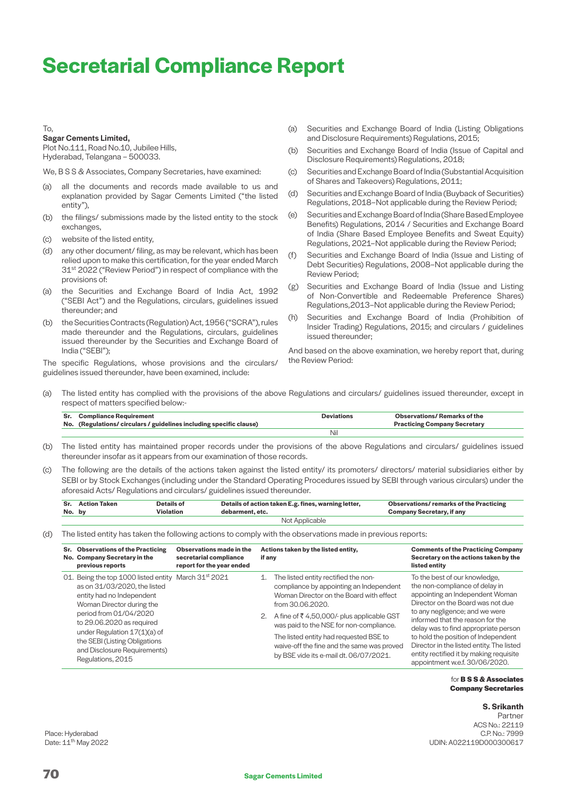# **Secretarial Compliance Report**

#### To,

#### Sagar Cements Limited,

Plot No.111, Road No.10, Jubilee Hills, Hyderabad, Telangana – 500033.

We, B S S & Associates, Company Secretaries, have examined:

- (a) all the documents and records made available to us and explanation provided by Sagar Cements Limited ("the listed entity"),
- (b) the filings/ submissions made by the listed entity to the stock exchanges,
- (c) website of the listed entity,
- (d) any other document/ filing, as may be relevant, which has been relied upon to make this certification, for the year ended March 31<sup>st</sup> 2022 ("Review Period") in respect of compliance with the provisions of:
- (a) the Securities and Exchange Board of India Act, 1992 ("SEBI Act") and the Regulations, circulars, guidelines issued thereunder; and
- (b) the Securities Contracts (Regulation) Act, 1956 ("SCRA"), rules made thereunder and the Regulations, circulars, guidelines issued thereunder by the Securities and Exchange Board of India ("SEBI");

The specific Regulations, whose provisions and the circulars/ guidelines issued thereunder, have been examined, include:

- (a) Securities and Exchange Board of India (Listing Obligations and Disclosure Requirements) Regulations, 2015;
- (b) Securities and Exchange Board of India (Issue of Capital and Disclosure Requirements) Regulations, 2018;
- (c) Securities and Exchange Board of India (Substantial Acquisition of Shares and Takeovers) Regulations, 2011;
- (d) Securities and Exchange Board of India (Buyback of Securities) Regulations, 2018–Not applicable during the Review Period;
- (e) Securities and Exchange Board of India (Share Based Employee Benefits) Regulations, 2014 / Securities and Exchange Board of India (Share Based Employee Benefits and Sweat Equity) Regulations, 2021–Not applicable during the Review Period;
- (f) Securities and Exchange Board of India (Issue and Listing of Debt Securities) Regulations, 2008–Not applicable during the Review Period;
- (g) Securities and Exchange Board of India (Issue and Listing of Non-Convertible and Redeemable Preference Shares) Regulations,2013–Not applicable during the Review Period;
- (h) Securities and Exchange Board of India (Prohibition of Insider Trading) Regulations, 2015; and circulars / guidelines issued thereunder;

And based on the above examination, we hereby report that, during the Review Period:

(a) The listed entity has complied with the provisions of the above Regulations and circulars/ guidelines issued thereunder, except in respect of matters specified below:-

| <b>Compliance Requirement</b>                                    | Deviations | Observations/ Remarks of the        |
|------------------------------------------------------------------|------------|-------------------------------------|
| No. (Regulations/circulars/guidelines including specific clause) |            | <b>Practicing Company Secretary</b> |
|                                                                  | Ni         |                                     |

- (b) The listed entity has maintained proper records under the provisions of the above Regulations and circulars/ guidelines issued thereunder insofar as it appears from our examination of those records.
- (c) The following are the details of the actions taken against the listed entity/ its promoters/ directors/ material subsidiaries either by SEBI or by Stock Exchanges (including under the Standard Operating Procedures issued by SEBI through various circulars) under the aforesaid Acts/ Regulations and circulars/ guidelines issued thereunder.

| No. by         | Sr. Action Taken | Details of<br>Violation | Details of action taken E.g. fines, warning letter,<br>debarment, etc. | <b>Observations/remarks of the Practicing</b><br><b>Company Secretary, if any</b> |
|----------------|------------------|-------------------------|------------------------------------------------------------------------|-----------------------------------------------------------------------------------|
| Not Applicable |                  |                         |                                                                        |                                                                                   |

(d) The listed entity has taken the following actions to comply with the observations made in previous reports:

| Sr. Observations of the Practicing<br>No. Company Secretary in the<br>previous reports                                                                                                                                                                                                                                                    | Observations made in the<br>secretarial compliance<br>report for the year ended | if any | Actions taken by the listed entity,                                                                                                                                                                                                                                                                                                                                         | <b>Comments of the Practicing Company</b><br>Secretary on the actions taken by the<br>listed entity                                                                                                                                                                                                                                                                                                                    |
|-------------------------------------------------------------------------------------------------------------------------------------------------------------------------------------------------------------------------------------------------------------------------------------------------------------------------------------------|---------------------------------------------------------------------------------|--------|-----------------------------------------------------------------------------------------------------------------------------------------------------------------------------------------------------------------------------------------------------------------------------------------------------------------------------------------------------------------------------|------------------------------------------------------------------------------------------------------------------------------------------------------------------------------------------------------------------------------------------------------------------------------------------------------------------------------------------------------------------------------------------------------------------------|
| 01. Being the top 1000 listed entity March 31 <sup>st</sup> 2021<br>as on 31/03/2020, the listed<br>entity had no Independent<br>Woman Director during the<br>period from 01/04/2020<br>to 29.06.2020 as required<br>under Regulation $17(1)(a)$ of<br>the SEBI (Listing Obligations<br>and Disclosure Requirements)<br>Regulations, 2015 |                                                                                 | 1.     | The listed entity rectified the non-<br>compliance by appointing an Independent<br>Woman Director on the Board with effect<br>from 30.06.2020.<br>2. A fine of ₹4,50,000/- plus applicable GST<br>was paid to the NSE for non-compliance.<br>The listed entity had requested BSE to<br>waive-off the fine and the same was proved<br>by BSE vide its e-mail dt. 06/07/2021. | To the best of our knowledge,<br>the non-compliance of delay in<br>appointing an Independent Woman<br>Director on the Board was not due<br>to any negligence; and we were<br>informed that the reason for the<br>delay was to find appropriate person<br>to hold the position of Independent<br>Director in the listed entity. The listed<br>entity rectified it by making requisite<br>appointment w.e.f. 30/06/2020. |

#### for **B S S & Associates Company Secretaries**

#### **S. Srikanth**

Partner ACS No.: 22119<br>C.P. No.: 7999 Place: Hyderabad C.P. No.: 7999 Date: 11th May 2022 UDIN: A022119D000300617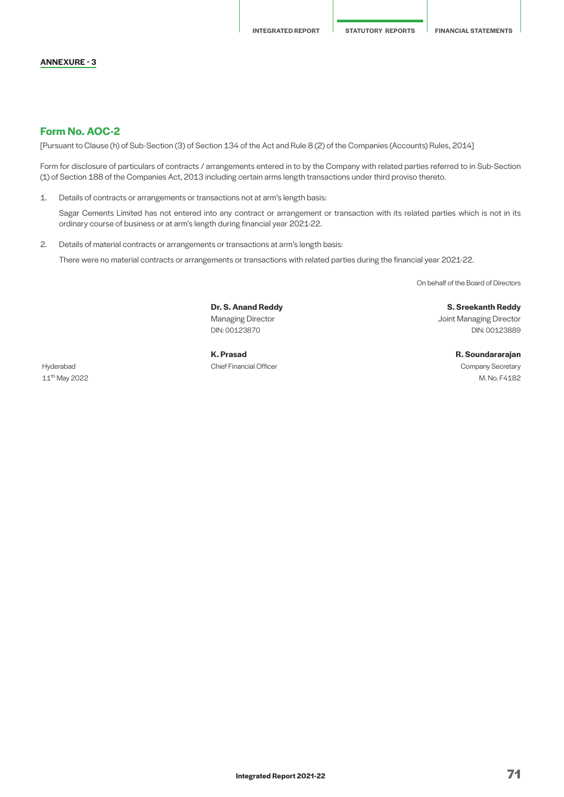#### **ANNEXURE - 3**

# **Form No. AOC-2**

[Pursuant to Clause (h) of Sub-Section (3) of Section 134 of the Act and Rule 8 (2) of the Companies (Accounts) Rules, 2014]

Form for disclosure of particulars of contracts / arrangements entered in to by the Company with related parties referred to in Sub-Section (1) of Section 188 of the Companies Act, 2013 including certain arms length transactions under third proviso thereto.

1. Details of contracts or arrangements or transactions not at arm's length basis:

 Sagar Cements Limited has not entered into any contract or arrangement or transaction with its related parties which is not in its ordinary course of business or at arm's length during financial year 2021-22.

2. Details of material contracts or arrangements or transactions at arm's length basis:

There were no material contracts or arrangements or transactions with related parties during the financial year 2021-22.

On behalf of the Board of Directors

**Dr. S. Anand Reddy S. Sreekanth Reddy**

Hyderabad Chief Financial Officer Company Secretary

Managing Director **Managing Director** Joint Managing Director DIN: 00123870 DIN: 00123889

**K. Prasad R. Soundararajan** 11th May 2022 M. No. F4182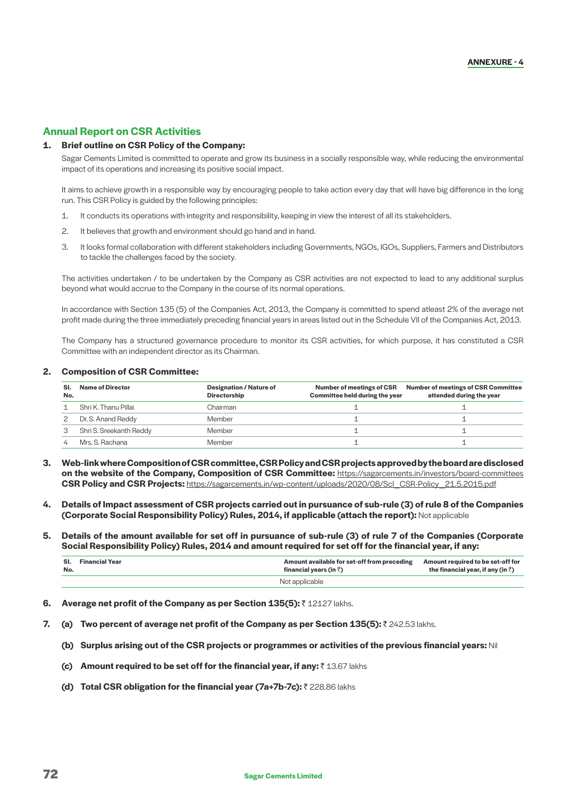# **Annual Report on CSR Activities**

#### **1. Brief outline on CSR Policy of the Company:**

 Sagar Cements Limited is committed to operate and grow its business in a socially responsible way, while reducing the environmental impact of its operations and increasing its positive social impact.

 It aims to achieve growth in a responsible way by encouraging people to take action every day that will have big difference in the long run. This CSR Policy is guided by the following principles:

- 1. It conducts its operations with integrity and responsibility, keeping in view the interest of all its stakeholders.
- 2. It believes that growth and environment should go hand and in hand.
- 3. It looks formal collaboration with different stakeholders including Governments, NGOs, IGOs, Suppliers, Farmers and Distributors to tackle the challenges faced by the society.

 The activities undertaken / to be undertaken by the Company as CSR activities are not expected to lead to any additional surplus beyond what would accrue to the Company in the course of its normal operations.

 In accordance with Section 135 (5) of the Companies Act, 2013, the Company is committed to spend atleast 2% of the average net profit made during the three immediately preceding financial years in areas listed out in the Schedule VII of the Companies Act, 2013.

 The Company has a structured governance procedure to monitor its CSR activities, for which purpose, it has constituted a CSR Committee with an independent director as its Chairman.

#### **2. Composition of CSR Committee:**

| SI.<br>No. | <b>Name of Director</b> | <b>Designation / Nature of</b><br><b>Directorship</b> | <b>Number of meetings of CSR</b><br>Committee held during the year | <b>Number of meetings of CSR Committee</b><br>attended during the year |
|------------|-------------------------|-------------------------------------------------------|--------------------------------------------------------------------|------------------------------------------------------------------------|
|            | Shri K. Thanu Pillai    | Chairman                                              |                                                                    |                                                                        |
|            | Dr. S. Anand Reddy      | Member                                                |                                                                    |                                                                        |
|            | Shri S. Sreekanth Reddy | Member                                                |                                                                    |                                                                        |
|            | Mrs. S. Rachana         | Member                                                |                                                                    |                                                                        |

- **3. Web-link where Composition of CSR committee, CSR Policy and CSR projects approved by the board are disclosed on the website of the Company, Composition of CSR Committee:** <https://sagarcements.in/investors/board-committees> **CSR Policy and CSR Projects:** [https://sagarcements.in/wp-content/uploads/2020/08/Scl\\_CSR-Policy\\_21.5.2015.pdf](https://sagarcements.in/wp-content/uploads/2020/08/Scl_CSR-Policy_21.5.2015.pdf
)
- **4. Details of Impact assessment of CSR projects carried out in pursuance of sub-rule (3) of rule 8 of the Companies (Corporate Social Responsibility Policy) Rules, 2014, if applicable (attach the report):** Not applicable
- **5. Details of the amount available for set off in pursuance of sub-rule (3) of rule 7 of the Companies (Corporate Social Responsibility Policy) Rules, 2014 and amount required for set off for the financial year, if any:**

| No. | <b>SI.</b> Financial Year | Amount available for set-off from preceding<br>financial years (in $\bar{z}$ ) | Amount required to be set-off for<br>the financial year, if any (in $\bar{z}$ ) |  |
|-----|---------------------------|--------------------------------------------------------------------------------|---------------------------------------------------------------------------------|--|
|     |                           | Not applicable                                                                 |                                                                                 |  |

- **6.** Average net profit of the Company as per Section 135(5): ₹12127 lakhs.
- **7.** (a) Two percent of average net profit of the Company as per Section 135(5): ₹242.53 lakhs.
	- **(b) Surplus arising out of the CSR projects or programmes or activities of the previous financial years:** Nil
	- **(c)** Amount required to be set off for the financial year, if any: ₹13.67 lakhs
	- **(d) Total CSR obligation for the financial year (7a+7b-7c): ₹228.86 lakhs**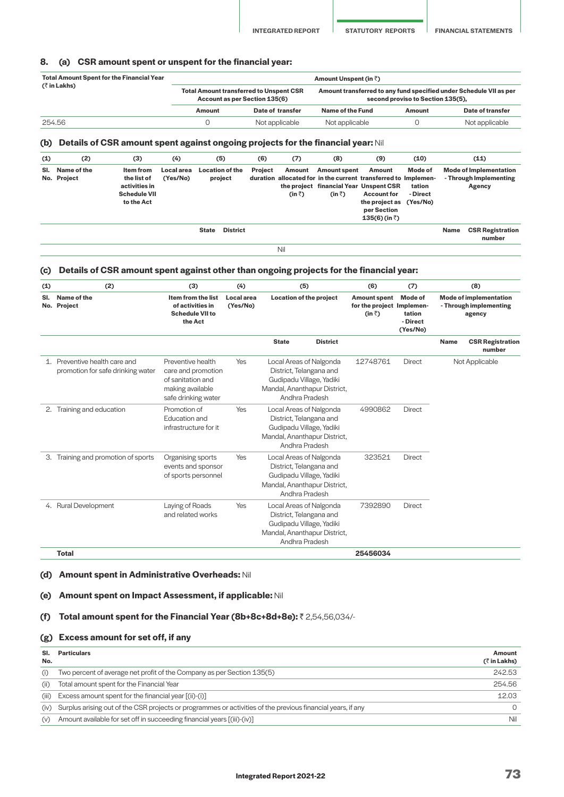#### **8. (a) CSR amount spent or unspent for the financial year:**

| <b>Total Amount Spent for the Financial Year</b> | Amount Unspent (in $\bar{z}$ ) |                                                                                 |                                                                                                         |        |                  |  |  |
|--------------------------------------------------|--------------------------------|---------------------------------------------------------------------------------|---------------------------------------------------------------------------------------------------------|--------|------------------|--|--|
| $($ ₹ in Lakhs)                                  |                                | <b>Total Amount transferred to Unspent CSR</b><br>Account as per Section 135(6) | Amount transferred to any fund specified under Schedule VII as per<br>second proviso to Section 135(5), |        |                  |  |  |
|                                                  | Amount                         | Date of transfer                                                                | Name of the Fund                                                                                        | Amount | Date of transfer |  |  |
| 254.56                                           |                                | Not applicable                                                                  | Not applicable                                                                                          |        | Not applicable   |  |  |

#### **(b) Details of CSR amount spent against ongoing projects for the financial year:** Nil

| (2)                        | (3)                                                                            | (4)                    | (5)   | (6)                                                  | (7)                      | (8)            | (9)                                                            | (10)                          |                                                                                                                                     | (11)                                                              |
|----------------------------|--------------------------------------------------------------------------------|------------------------|-------|------------------------------------------------------|--------------------------|----------------|----------------------------------------------------------------|-------------------------------|-------------------------------------------------------------------------------------------------------------------------------------|-------------------------------------------------------------------|
| Name of the<br>No. Project | Item from<br>the list of<br>activities in<br><b>Schedule VII</b><br>to the Act | Local area<br>(Yes/No) |       | <b>Project</b>                                       | Amount<br>$(in \bar{z})$ | $(in \bar{z})$ | Amount<br><b>Account for</b><br>per Section<br>$135(6)$ (in ₹) | Mode of<br>tation<br>- Direct |                                                                                                                                     | <b>Mode of Implementation</b><br>- Through Implementing<br>Agency |
|                            |                                                                                |                        | State |                                                      |                          |                |                                                                |                               | Name                                                                                                                                | <b>CSR Registration</b><br>number                                 |
|                            |                                                                                |                        |       | <b>Location of the</b><br>project<br><b>District</b> |                          |                |                                                                | <b>Amount spent</b>           | duration allocated for in the current transferred to Implemen-<br>the project financial Year Unspent CSR<br>the project as (Yes/No) |                                                                   |

#### **(c) Details of CSR amount spent against other than ongoing projects for the financial year:**

| (1)        | (2)                                                                | (3)                                                                                                     | (4)                    | (5)                                                                                                                              | (6)                                                                | (7)                                       |             | (8)                                                               |
|------------|--------------------------------------------------------------------|---------------------------------------------------------------------------------------------------------|------------------------|----------------------------------------------------------------------------------------------------------------------------------|--------------------------------------------------------------------|-------------------------------------------|-------------|-------------------------------------------------------------------|
| SI.<br>No. | Name of the<br>Project                                             | Item from the list<br>of activities in<br><b>Schedule VII to</b><br>the Act                             | Local area<br>(Yes/No) | Location of the project                                                                                                          | <b>Amount spent</b><br>for the project Implemen-<br>$(in \bar{z})$ | Mode of<br>tation<br>- Direct<br>(Yes/No) |             | <b>Mode of implementation</b><br>- Through implementing<br>agency |
|            |                                                                    |                                                                                                         |                        | <b>State</b><br><b>District</b>                                                                                                  |                                                                    |                                           | <b>Name</b> | <b>CSR Registration</b><br>number                                 |
|            | 1. Preventive health care and<br>promotion for safe drinking water | Preventive health<br>care and promotion<br>of sanitation and<br>making available<br>safe drinking water | Yes                    | Local Areas of Nalgonda<br>District, Telangana and<br>Gudipadu Village, Yadiki<br>Mandal, Ananthapur District,<br>Andhra Pradesh | 12748761                                                           | <b>Direct</b>                             |             | Not Applicable                                                    |
| 2.         | Training and education                                             | Promotion of<br>Education and<br>infrastructure for it                                                  | Yes                    | Local Areas of Nalgonda<br>District, Telangana and<br>Gudipadu Village, Yadiki<br>Mandal, Ananthapur District,<br>Andhra Pradesh | 4990862                                                            | <b>Direct</b>                             |             |                                                                   |
| З.         | Training and promotion of sports                                   | Organising sports<br>events and sponsor<br>of sports personnel                                          | Yes                    | Local Areas of Nalgonda<br>District, Telangana and<br>Gudipadu Village, Yadiki<br>Mandal, Ananthapur District,<br>Andhra Pradesh | 323521                                                             | <b>Direct</b>                             |             |                                                                   |
|            | 4. Rural Development                                               | Laying of Roads<br>and related works                                                                    | Yes                    | Local Areas of Nalgonda<br>District, Telangana and<br>Gudipadu Village, Yadiki<br>Mandal, Ananthapur District,<br>Andhra Pradesh | 7392890                                                            | <b>Direct</b>                             |             |                                                                   |
|            | <b>Total</b>                                                       |                                                                                                         |                        |                                                                                                                                  | 25456034                                                           |                                           |             |                                                                   |

#### **(d) Amount spent in Administrative Overheads:** Nil

# **(e) Amount spent on Impact Assessment, if applicable:** Nil

### **(f) Total amount spent for the Financial Year (8b+8c+8d+8e): ₹2,54,56,034/-**

#### **(g) Excess amount for set off, if any**

| SI.<br>No. | <b>Particulars</b>                                                                                          | Amount<br>$($ ₹ in Lakhs) |
|------------|-------------------------------------------------------------------------------------------------------------|---------------------------|
| (i)        | Two percent of average net profit of the Company as per Section 135(5)                                      | 242.53                    |
| (ii)       | Total amount spent for the Financial Year                                                                   | 254.56                    |
| (iii)      | Excess amount spent for the financial year [(ii)-(i)]                                                       | 12.03                     |
| (iv)       | Surplus arising out of the CSR projects or programmes or activities of the previous financial years, if any | $\cap$                    |
| (v)        | Amount available for set off in succeeding financial years [(iii)-(iv)]                                     | Nil                       |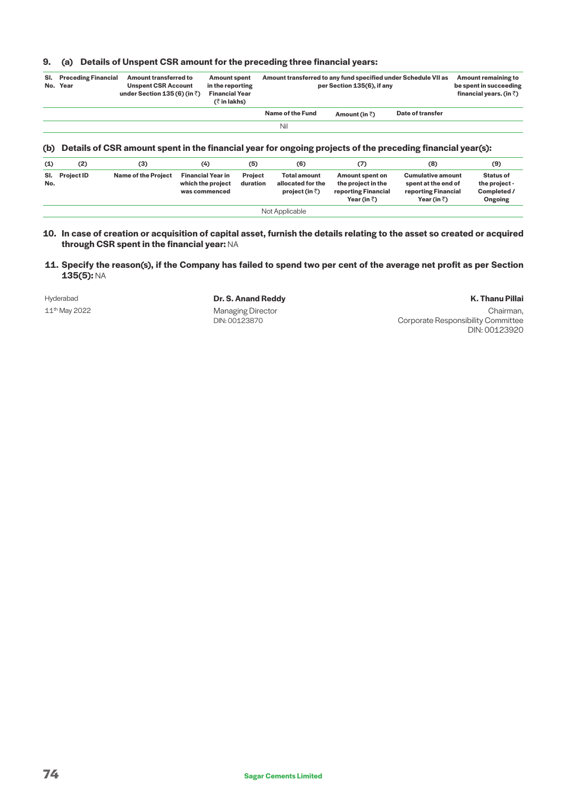# **9. (a) Details of Unspent CSR amount for the preceding three financial years:**

| SI. | <b>Preceding Financial</b><br>No. Year | Amount transferred to<br><b>Unspent CSR Account</b><br>under Section 135 (6) (in $\bar{z}$ ) | <b>Amount spent</b><br>in the reporting<br><b>Financial Year</b><br>(₹ in lakhs) | Amount transferred to any fund specified under Schedule VII as | per Section 135(6), if any |                  | Amount remaining to<br>be spent in succeeding<br>financial years. (in $\bar{z}$ ) |
|-----|----------------------------------------|----------------------------------------------------------------------------------------------|----------------------------------------------------------------------------------|----------------------------------------------------------------|----------------------------|------------------|-----------------------------------------------------------------------------------|
|     |                                        |                                                                                              |                                                                                  | Name of the Fund                                               | Amount (in $\bar{z}$ )     | Date of transfer |                                                                                   |
|     |                                        |                                                                                              |                                                                                  | Nil                                                            |                            |                  |                                                                                   |

### **(b) Details of CSR amount spent in the financial year for ongoing projects of the preceding financial year(s):**

| (1)            | (2)               | (3)                        | (4)                                                            | (5)                 | (6)                                                                 | (7)                                                                                         | (8)                                                                                            | (9)                                                         |
|----------------|-------------------|----------------------------|----------------------------------------------------------------|---------------------|---------------------------------------------------------------------|---------------------------------------------------------------------------------------------|------------------------------------------------------------------------------------------------|-------------------------------------------------------------|
| SI.<br>No.     | <b>Project ID</b> | <b>Name of the Project</b> | <b>Financial Year in</b><br>which the project<br>was commenced | Project<br>duration | <b>Total amount</b><br>allocated for the<br>project (in $\bar{z}$ ) | <b>Amount spent on</b><br>the project in the<br>reporting Financial<br>Year (in $\bar{z}$ ) | <b>Cumulative amount</b><br>spent at the end of<br>reporting Financial<br>Year (in $\bar{z}$ ) | <b>Status of</b><br>the project -<br>Completed /<br>Ongoing |
| Not Applicable |                   |                            |                                                                |                     |                                                                     |                                                                                             |                                                                                                |                                                             |

#### **10. In case of creation or acquisition of capital asset, furnish the details relating to the asset so created or acquired through CSR spent in the financial year:** NA

 **11. Specify the reason(s), if the Company has failed to spend two per cent of the average net profit as per Section 135(5):** NA

#### Hyderabad **Dr. S. Anand Reddy K. Thanu Pillai** 11<sup>th</sup> May 2022 **Managing Director** DIN: 00123870

Chairman, Corporate Responsibility Committee DIN: 00123920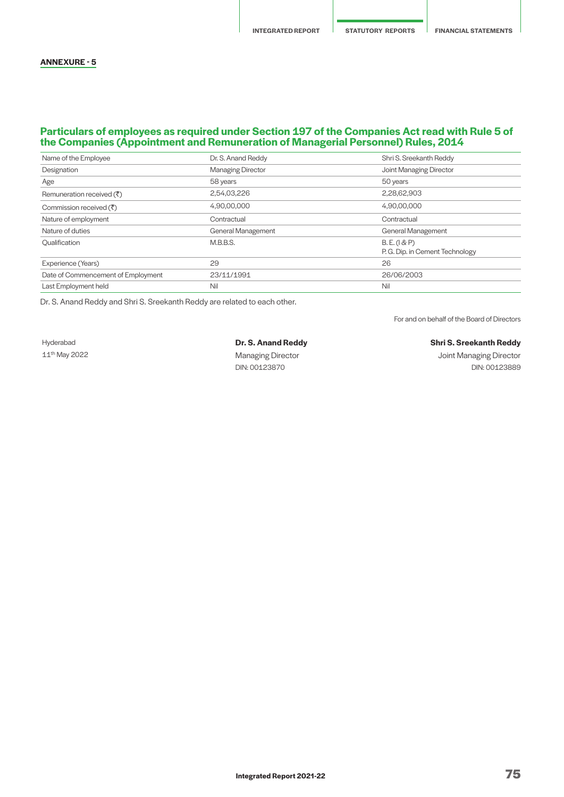#### **ANNEXURE - 5**

### **Particulars of employees as required under Section 197 of the Companies Act read with Rule 5 of the Companies (Appointment and Remuneration of Managerial Personnel) Rules, 2014**

| Name of the Employee                  | Dr. S. Anand Reddy       | Shri S. Sreekanth Reddy                         |
|---------------------------------------|--------------------------|-------------------------------------------------|
| Designation                           | <b>Managing Director</b> | Joint Managing Director                         |
| Age                                   | 58 years                 | 50 years                                        |
| Remuneration received $(\bar{\zeta})$ | 2,54,03,226              | 2,28,62,903                                     |
| Commission received $(\bar{\zeta})$   | 4,90,00,000              | 4,90,00,000                                     |
| Nature of employment                  | Contractual              | Contractual                                     |
| Nature of duties                      | General Management       | <b>General Management</b>                       |
|                                       |                          |                                                 |
| Oualification                         | M.B.B.S.                 | B.E. (1 & P)<br>P. G. Dip. in Cement Technology |
| Experience (Years)                    | 29                       | 26                                              |
| Date of Commencement of Employment    | 23/11/1991               | 26/06/2003                                      |

Dr. S. Anand Reddy and Shri S. Sreekanth Reddy are related to each other.

For and on behalf of the Board of Directors

Hyderabad **Dr. S. Anand Reddy Shri S. Sreekanth Reddy**

11<sup>th</sup> May 2022 **11th May 2022** 2022 2012 11th Managing Director Channel Managing Director 31th Managing Director DIN: 00123870 DIN: 00123889